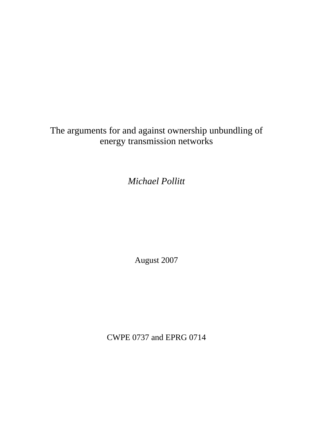The arguments for and against ownership unbundling of energy transmission networks

*Michael Pollitt* 

August 2007

CWPE 0737 and EPRG 0714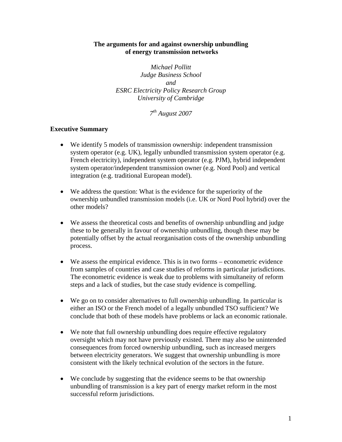# **The arguments for and against ownership unbundling of energy transmission networks**

*Michael Pollitt Judge Business School and ESRC Electricity Policy Research Group University of Cambridge* 

*7th August 2007* 

# **Executive Summary**

- We identify 5 models of transmission ownership: independent transmission system operator (e.g. UK), legally unbundled transmission system operator (e.g. French electricity), independent system operator (e.g. PJM), hybrid independent system operator/independent transmission owner (e.g. Nord Pool) and vertical integration (e.g. traditional European model).
- We address the question: What is the evidence for the superiority of the ownership unbundled transmission models (i.e. UK or Nord Pool hybrid) over the other models?
- We assess the theoretical costs and benefits of ownership unbundling and judge these to be generally in favour of ownership unbundling, though these may be potentially offset by the actual reorganisation costs of the ownership unbundling process.
- We assess the empirical evidence. This is in two forms econometric evidence from samples of countries and case studies of reforms in particular jurisdictions. The econometric evidence is weak due to problems with simultaneity of reform steps and a lack of studies, but the case study evidence is compelling.
- We go on to consider alternatives to full ownership unbundling. In particular is either an ISO or the French model of a legally unbundled TSO sufficient? We conclude that both of these models have problems or lack an economic rationale.
- We note that full ownership unbundling does require effective regulatory oversight which may not have previously existed. There may also be unintended consequences from forced ownership unbundling, such as increased mergers between electricity generators. We suggest that ownership unbundling is more consistent with the likely technical evolution of the sectors in the future.
- We conclude by suggesting that the evidence seems to be that ownership unbundling of transmission is a key part of energy market reform in the most successful reform jurisdictions.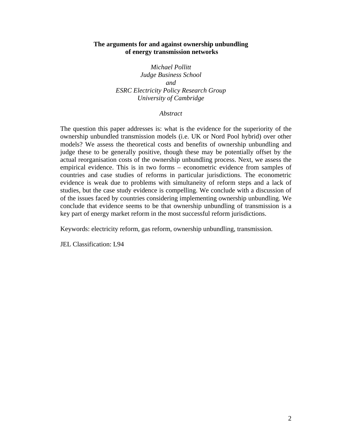## **The arguments for and against ownership unbundling of energy transmission networks**

*Michael Pollitt Judge Business School and ESRC Electricity Policy Research Group University of Cambridge* 

### *Abstract*

The question this paper addresses is: what is the evidence for the superiority of the ownership unbundled transmission models (i.e. UK or Nord Pool hybrid) over other models? We assess the theoretical costs and benefits of ownership unbundling and judge these to be generally positive, though these may be potentially offset by the actual reorganisation costs of the ownership unbundling process. Next, we assess the empirical evidence. This is in two forms – econometric evidence from samples of countries and case studies of reforms in particular jurisdictions. The econometric evidence is weak due to problems with simultaneity of reform steps and a lack of studies, but the case study evidence is compelling. We conclude with a discussion of of the issues faced by countries considering implementing ownership unbundling. We conclude that evidence seems to be that ownership unbundling of transmission is a key part of energy market reform in the most successful reform jurisdictions.

Keywords: electricity reform, gas reform, ownership unbundling, transmission.

JEL Classification: L94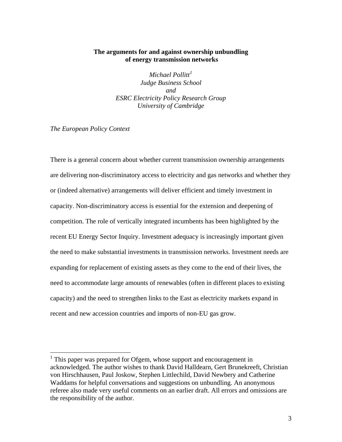# **The arguments for and against ownership unbundling of energy transmission networks**

*Michael Pollitt[1](#page-3-0) Judge Business School and ESRC Electricity Policy Research Group University of Cambridge* 

*The European Policy Context* 

 $\overline{a}$ 

There is a general concern about whether current transmission ownership arrangements are delivering non-discriminatory access to electricity and gas networks and whether they or (indeed alternative) arrangements will deliver efficient and timely investment in capacity. Non-discriminatory access is essential for the extension and deepening of competition. The role of vertically integrated incumbents has been highlighted by the recent EU Energy Sector Inquiry. Investment adequacy is increasingly important given the need to make substantial investments in transmission networks. Investment needs are expanding for replacement of existing assets as they come to the end of their lives, the need to accommodate large amounts of renewables (often in different places to existing capacity) and the need to strengthen links to the East as electricity markets expand in recent and new accession countries and imports of non-EU gas grow.

<span id="page-3-0"></span> $<sup>1</sup>$  This paper was prepared for Ofgem, whose support and encouragement in</sup> acknowledged. The author wishes to thank David Halldearn, Gert Brunekreeft, Christian von Hirschhausen, Paul Joskow, Stephen Littlechild, David Newbery and Catherine Waddams for helpful conversations and suggestions on unbundling. An anonymous referee also made very useful comments on an earlier draft. All errors and omissions are the responsibility of the author.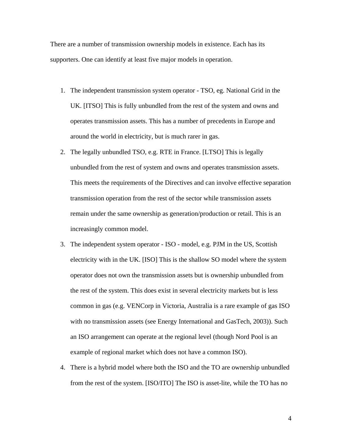There are a number of transmission ownership models in existence. Each has its supporters. One can identify at least five major models in operation.

- 1. The independent transmission system operator TSO, eg. National Grid in the UK. [ITSO] This is fully unbundled from the rest of the system and owns and operates transmission assets. This has a number of precedents in Europe and around the world in electricity, but is much rarer in gas.
- 2. The legally unbundled TSO, e.g. RTE in France. [LTSO] This is legally unbundled from the rest of system and owns and operates transmission assets. This meets the requirements of the Directives and can involve effective separation transmission operation from the rest of the sector while transmission assets remain under the same ownership as generation/production or retail. This is an increasingly common model.
- 3. The independent system operator ISO model, e.g. PJM in the US, Scottish electricity with in the UK. [ISO] This is the shallow SO model where the system operator does not own the transmission assets but is ownership unbundled from the rest of the system. This does exist in several electricity markets but is less common in gas (e.g. VENCorp in Victoria, Australia is a rare example of gas ISO with no transmission assets (see Energy International and GasTech, 2003)). Such an ISO arrangement can operate at the regional level (though Nord Pool is an example of regional market which does not have a common ISO).
- 4. There is a hybrid model where both the ISO and the TO are ownership unbundled from the rest of the system. [ISO/ITO] The ISO is asset-lite, while the TO has no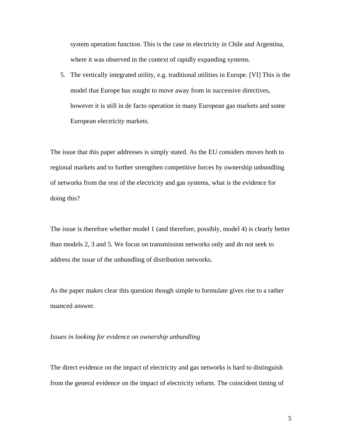system operation function. This is the case in electricity in Chile and Argentina, where it was observed in the context of rapidly expanding systems.

5. The vertically integrated utility, e.g. traditional utilities in Europe. [VI] This is the model that Europe has sought to move away from in successive directives, however it is still in de facto operation in many European gas markets and some European electricity markets.

The issue that this paper addresses is simply stated. As the EU considers moves both to regional markets and to further strengthen competitive forces by ownership unbundling of networks from the rest of the electricity and gas systems, what is the evidence for doing this?

The issue is therefore whether model 1 (and therefore, possibly, model 4) is clearly better than models 2, 3 and 5. We focus on transmission networks only and do not seek to address the issue of the unbundling of distribution networks.

As the paper makes clear this question though simple to formulate gives rise to a rather nuanced answer.

#### *Issues in looking for evidence on ownership unbundling*

The direct evidence on the impact of electricity and gas networks is hard to distinguish from the general evidence on the impact of electricity reform. The coincident timing of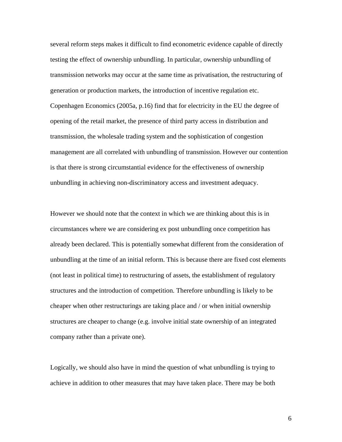several reform steps makes it difficult to find econometric evidence capable of directly testing the effect of ownership unbundling. In particular, ownership unbundling of transmission networks may occur at the same time as privatisation, the restructuring of generation or production markets, the introduction of incentive regulation etc. Copenhagen Economics (2005a, p.16) find that for electricity in the EU the degree of opening of the retail market, the presence of third party access in distribution and transmission, the wholesale trading system and the sophistication of congestion management are all correlated with unbundling of transmission. However our contention is that there is strong circumstantial evidence for the effectiveness of ownership unbundling in achieving non-discriminatory access and investment adequacy.

However we should note that the context in which we are thinking about this is in circumstances where we are considering ex post unbundling once competition has already been declared. This is potentially somewhat different from the consideration of unbundling at the time of an initial reform. This is because there are fixed cost elements (not least in political time) to restructuring of assets, the establishment of regulatory structures and the introduction of competition. Therefore unbundling is likely to be cheaper when other restructurings are taking place and / or when initial ownership structures are cheaper to change (e.g. involve initial state ownership of an integrated company rather than a private one).

Logically, we should also have in mind the question of what unbundling is trying to achieve in addition to other measures that may have taken place. There may be both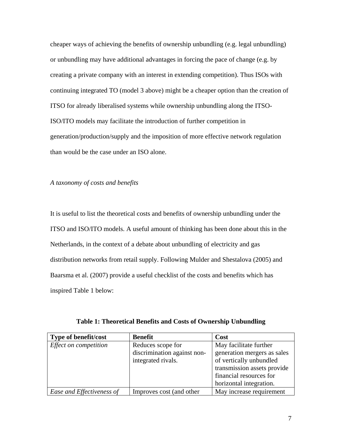cheaper ways of achieving the benefits of ownership unbundling (e.g. legal unbundling) or unbundling may have additional advantages in forcing the pace of change (e.g. by creating a private company with an interest in extending competition). Thus ISOs with continuing integrated TO (model 3 above) might be a cheaper option than the creation of ITSO for already liberalised systems while ownership unbundling along the ITSO-ISO/ITO models may facilitate the introduction of further competition in generation/production/supply and the imposition of more effective network regulation than would be the case under an ISO alone.

*A taxonomy of costs and benefits* 

It is useful to list the theoretical costs and benefits of ownership unbundling under the ITSO and ISO/ITO models. A useful amount of thinking has been done about this in the Netherlands, in the context of a debate about unbundling of electricity and gas distribution networks from retail supply. Following Mulder and Shestalova (2005) and Baarsma et al. (2007) provide a useful checklist of the costs and benefits which has inspired Table 1 below:

| Type of benefit/cost      | <b>Benefit</b>                                                         | Cost                                                                                                                                                                  |
|---------------------------|------------------------------------------------------------------------|-----------------------------------------------------------------------------------------------------------------------------------------------------------------------|
| Effect on competition     | Reduces scope for<br>discrimination against non-<br>integrated rivals. | May facilitate further<br>generation mergers as sales<br>of vertically unbundled<br>transmission assets provide<br>financial resources for<br>horizontal integration. |
| Ease and Effectiveness of | Improves cost (and other                                               | May increase requirement                                                                                                                                              |

|  |  |  |  |  | Table 1: Theoretical Benefits and Costs of Ownership Unbundling |
|--|--|--|--|--|-----------------------------------------------------------------|
|  |  |  |  |  |                                                                 |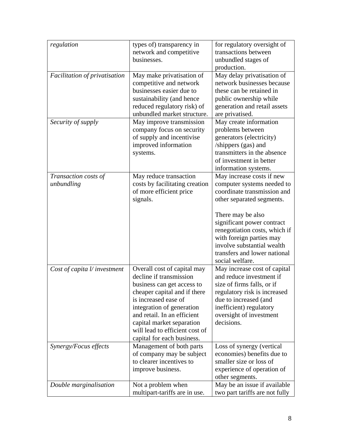| regulation                         | types of) transparency in<br>network and competitive<br>businesses.                                                                                                                                                                                                                                   | for regulatory oversight of<br>transactions between<br>unbundled stages of                                                                                                                                                                                                                                           |
|------------------------------------|-------------------------------------------------------------------------------------------------------------------------------------------------------------------------------------------------------------------------------------------------------------------------------------------------------|----------------------------------------------------------------------------------------------------------------------------------------------------------------------------------------------------------------------------------------------------------------------------------------------------------------------|
| Facilitation of privatisation      | May make privatisation of<br>competitive and network<br>businesses easier due to<br>sustainability (and hence<br>reduced regulatory risk) of<br>unbundled market structure.                                                                                                                           | production.<br>May delay privatisation of<br>network businesses because<br>these can be retained in<br>public ownership while<br>generation and retail assets<br>are privatised.                                                                                                                                     |
| Security of supply                 | May improve transmission<br>company focus on security<br>of supply and incentivise<br>improved information<br>systems.                                                                                                                                                                                | May create information<br>problems between<br>generators (electricity)<br>/shippers (gas) and<br>transmitters in the absence<br>of investment in better<br>information systems.                                                                                                                                      |
| Transaction costs of<br>unbundling | May reduce transaction<br>costs by facilitating creation<br>of more efficient price<br>signals.                                                                                                                                                                                                       | May increase costs if new<br>computer systems needed to<br>coordinate transmission and<br>other separated segments.<br>There may be also<br>significant power contract<br>renegotiation costs, which if<br>with foreign parties may<br>involve substantial wealth<br>transfers and lower national<br>social welfare. |
| Cost of capita l/ investment       | Overall cost of capital may<br>decline if transmission<br>business can get access to<br>cheaper capital and if there<br>is increased ease of<br>integration of generation<br>and retail. In an efficient<br>capital market separation<br>will lead to efficient cost of<br>capital for each business. | May increase cost of capital<br>and reduce investment if<br>size of firms falls, or if<br>regulatory risk is increased<br>due to increased (and<br>inefficient) regulatory<br>oversight of investment<br>decisions.                                                                                                  |
| Synergy/Focus effects              | Management of both parts<br>of company may be subject<br>to clearer incentives to<br>improve business.                                                                                                                                                                                                | Loss of synergy (vertical<br>economies) benefits due to<br>smaller size or loss of<br>experience of operation of<br>other segments.                                                                                                                                                                                  |
| Double marginalisation             | Not a problem when<br>multipart-tariffs are in use.                                                                                                                                                                                                                                                   | May be an issue if available<br>two part tariffs are not fully                                                                                                                                                                                                                                                       |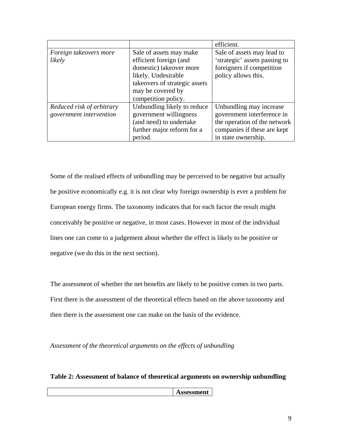|                           |                               | efficient.                    |
|---------------------------|-------------------------------|-------------------------------|
| Foreign takeovers more    | Sale of assets may make       | Sale of assets may lead to    |
| likely                    | efficient foreign (and        | 'strategic' assets passing to |
|                           | domestic) takeover more       | foreigners if competition     |
|                           | likely. Undesirable           | policy allows this.           |
|                           | takeovers of strategic assets |                               |
|                           | may be covered by             |                               |
|                           | competition policy.           |                               |
| Reduced risk of arbitrary | Unbundling likely to reduce   | Unbundling may increase       |
| government intervention   | government willingness        | government interference in    |
|                           | (and need) to undertake       | the operation of the network  |
|                           | further major reform for a    | companies if these are kept   |
|                           | period.                       | in state ownership.           |

Some of the realised effects of unbundling may be perceived to be negative but actually be positive economically e.g. it is not clear why foreign ownership is ever a problem for European energy firms. The taxonomy indicates that for each factor the result might conceivably be positive or negative, in most cases. However in most of the individual lines one can come to a judgement about whether the effect is likely to be positive or negative (we do this in the next section).

The assessment of whether the net benefits are likely to be positive comes in two parts. First there is the assessment of the theoretical effects based on the above taxonomy and then there is the assessment one can make on the basis of the evidence.

*Assessment of the theoretical arguments on the effects of unbundling* 

**Table 2: Assessment of balance of theoretical arguments on ownership unbundling** 

**Assessment**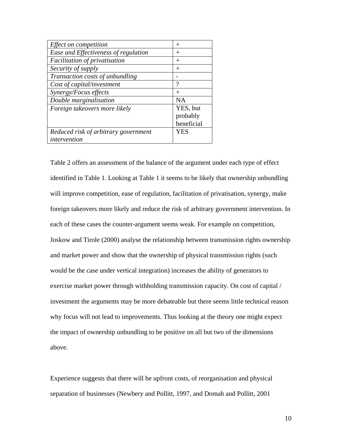| Effect on competition                | $^{+}$     |
|--------------------------------------|------------|
| Ease and Effectiveness of regulation | $^+$       |
| Facilitation of privatisation        | $\pm$      |
| Security of supply                   | $^+$       |
| Transaction costs of unbundling      |            |
| Cost of capital/investment           | ?          |
| Synergy/Focus effects                | $\div$     |
| Double marginalisation               | <b>NA</b>  |
| Foreign takeovers more likely        | YES, but   |
|                                      | probably   |
|                                      | beneficial |
| Reduced risk of arbitrary government | YES        |
| intervention                         |            |

Table 2 offers an assessment of the balance of the argument under each type of effect identified in Table 1. Looking at Table 1 it seems to be likely that ownership unbundling will improve competition, ease of regulation, facilitation of privatisation, synergy, make foreign takeovers more likely and reduce the risk of arbitrary government intervention. In each of these cases the counter-argument seems weak. For example on competition, Joskow and Tirole (2000) analyse the relationship between transmission rights ownership and market power and show that the ownership of physical transmission rights (such would be the case under vertical integration) increases the ability of generators to exercise market power through withholding transmission capacity. On cost of capital / investment the arguments may be more debateable but there seems little technical reason why focus will not lead to improvements. Thus looking at the theory one might expect the impact of ownership unbundling to be positive on all but two of the dimensions above.

Experience suggests that there will be upfront costs, of reorganisation and physical separation of businesses (Newbery and Pollitt, 1997, and Domah and Pollitt, 2001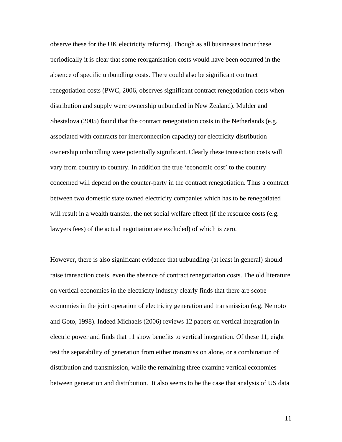observe these for the UK electricity reforms). Though as all businesses incur these periodically it is clear that some reorganisation costs would have been occurred in the absence of specific unbundling costs. There could also be significant contract renegotiation costs (PWC, 2006, observes significant contract renegotiation costs when distribution and supply were ownership unbundled in New Zealand). Mulder and Shestalova (2005) found that the contract renegotiation costs in the Netherlands (e.g. associated with contracts for interconnection capacity) for electricity distribution ownership unbundling were potentially significant. Clearly these transaction costs will vary from country to country. In addition the true 'economic cost' to the country concerned will depend on the counter-party in the contract renegotiation. Thus a contract between two domestic state owned electricity companies which has to be renegotiated will result in a wealth transfer, the net social welfare effect (if the resource costs (e.g. lawyers fees) of the actual negotiation are excluded) of which is zero.

However, there is also significant evidence that unbundling (at least in general) should raise transaction costs, even the absence of contract renegotiation costs. The old literature on vertical economies in the electricity industry clearly finds that there are scope economies in the joint operation of electricity generation and transmission (e.g. Nemoto and Goto, 1998). Indeed Michaels (2006) reviews 12 papers on vertical integration in electric power and finds that 11 show benefits to vertical integration. Of these 11, eight test the separability of generation from either transmission alone, or a combination of distribution and transmission, while the remaining three examine vertical economies between generation and distribution. It also seems to be the case that analysis of US data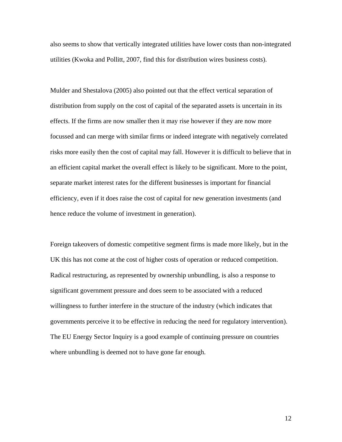also seems to show that vertically integrated utilities have lower costs than non-integrated utilities (Kwoka and Pollitt, 2007, find this for distribution wires business costs).

Mulder and Shestalova (2005) also pointed out that the effect vertical separation of distribution from supply on the cost of capital of the separated assets is uncertain in its effects. If the firms are now smaller then it may rise however if they are now more focussed and can merge with similar firms or indeed integrate with negatively correlated risks more easily then the cost of capital may fall. However it is difficult to believe that in an efficient capital market the overall effect is likely to be significant. More to the point, separate market interest rates for the different businesses is important for financial efficiency, even if it does raise the cost of capital for new generation investments (and hence reduce the volume of investment in generation).

Foreign takeovers of domestic competitive segment firms is made more likely, but in the UK this has not come at the cost of higher costs of operation or reduced competition. Radical restructuring, as represented by ownership unbundling, is also a response to significant government pressure and does seem to be associated with a reduced willingness to further interfere in the structure of the industry (which indicates that governments perceive it to be effective in reducing the need for regulatory intervention). The EU Energy Sector Inquiry is a good example of continuing pressure on countries where unbundling is deemed not to have gone far enough.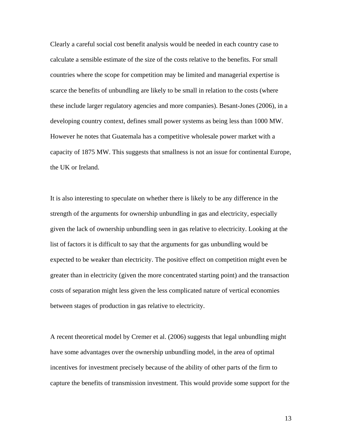Clearly a careful social cost benefit analysis would be needed in each country case to calculate a sensible estimate of the size of the costs relative to the benefits. For small countries where the scope for competition may be limited and managerial expertise is scarce the benefits of unbundling are likely to be small in relation to the costs (where these include larger regulatory agencies and more companies). Besant-Jones (2006), in a developing country context, defines small power systems as being less than 1000 MW. However he notes that Guatemala has a competitive wholesale power market with a capacity of 1875 MW. This suggests that smallness is not an issue for continental Europe, the UK or Ireland.

It is also interesting to speculate on whether there is likely to be any difference in the strength of the arguments for ownership unbundling in gas and electricity, especially given the lack of ownership unbundling seen in gas relative to electricity. Looking at the list of factors it is difficult to say that the arguments for gas unbundling would be expected to be weaker than electricity. The positive effect on competition might even be greater than in electricity (given the more concentrated starting point) and the transaction costs of separation might less given the less complicated nature of vertical economies between stages of production in gas relative to electricity.

A recent theoretical model by Cremer et al. (2006) suggests that legal unbundling might have some advantages over the ownership unbundling model, in the area of optimal incentives for investment precisely because of the ability of other parts of the firm to capture the benefits of transmission investment. This would provide some support for the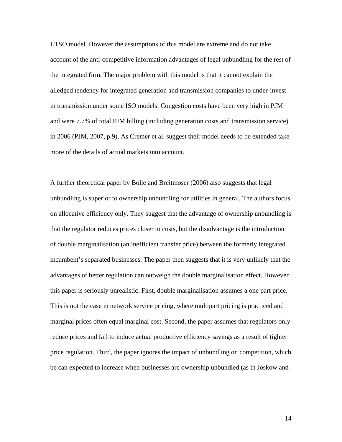LTSO model. However the assumptions of this model are extreme and do not take account of the anti-competitive information advantages of legal unbundling for the rest of the integrated firm. The major problem with this model is that it cannot explain the alledged tendency for integrated generation and transmission companies to under-invest in transmission under some ISO models. Congestion costs have been very high in PJM and were 7.7% of total PJM billing (including generation costs and transmission service) in 2006 (PJM, 2007, p.9). As Cremer et al. suggest their model needs to be extended take more of the details of actual markets into account.

A further theoretical paper by Bolle and Breitmoser (2006) also suggests that legal unbundling is superior to ownership unbundling for utilities in general. The authors focus on allocative efficiency only. They suggest that the advantage of ownership unbundling is that the regulator reduces prices closer to costs, but the disadvantage is the introduction of double marginalisation (an inefficient transfer price) between the formerly integrated incumbent's separated businesses. The paper then suggests that it is very unlikely that the advantages of better regulation can outweigh the double marginalisation effect. However this paper is seriously unrealistic. First, double marginalisation assumes a one part price. This is not the case in network service pricing, where multipart pricing is practiced and marginal prices often equal marginal cost. Second, the paper assumes that regulators only reduce prices and fail to induce actual productive efficiency savings as a result of tighter price regulation. Third, the paper ignores the impact of unbundling on competition, which be can expected to increase when businesses are ownership unbundled (as in Joskow and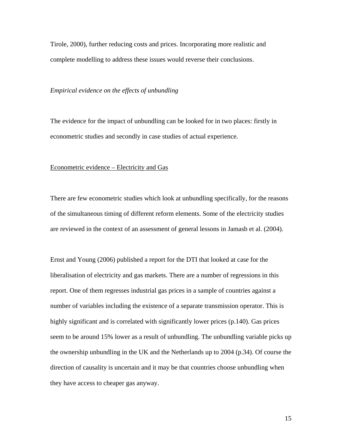Tirole, 2000), further reducing costs and prices. Incorporating more realistic and complete modelling to address these issues would reverse their conclusions.

### *Empirical evidence on the effects of unbundling*

The evidence for the impact of unbundling can be looked for in two places: firstly in econometric studies and secondly in case studies of actual experience.

### Econometric evidence – Electricity and Gas

There are few econometric studies which look at unbundling specifically, for the reasons of the simultaneous timing of different reform elements. Some of the electricity studies are reviewed in the context of an assessment of general lessons in Jamasb et al. (2004).

Ernst and Young (2006) published a report for the DTI that looked at case for the liberalisation of electricity and gas markets. There are a number of regressions in this report. One of them regresses industrial gas prices in a sample of countries against a number of variables including the existence of a separate transmission operator. This is highly significant and is correlated with significantly lower prices (p.140). Gas prices seem to be around 15% lower as a result of unbundling. The unbundling variable picks up the ownership unbundling in the UK and the Netherlands up to 2004 (p.34). Of course the direction of causality is uncertain and it may be that countries choose unbundling when they have access to cheaper gas anyway.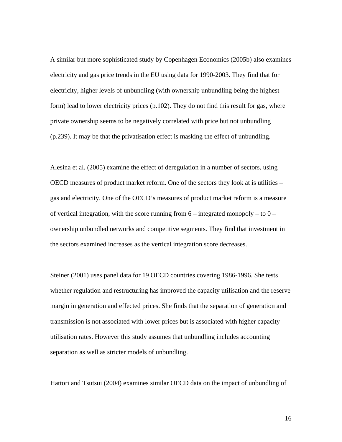A similar but more sophisticated study by Copenhagen Economics (2005b) also examines electricity and gas price trends in the EU using data for 1990-2003. They find that for electricity, higher levels of unbundling (with ownership unbundling being the highest form) lead to lower electricity prices (p.102). They do not find this result for gas, where private ownership seems to be negatively correlated with price but not unbundling (p.239). It may be that the privatisation effect is masking the effect of unbundling.

Alesina et al. (2005) examine the effect of deregulation in a number of sectors, using OECD measures of product market reform. One of the sectors they look at is utilities – gas and electricity. One of the OECD's measures of product market reform is a measure of vertical integration, with the score running from  $6$  – integrated monopoly – to  $0$  – ownership unbundled networks and competitive segments. They find that investment in the sectors examined increases as the vertical integration score decreases.

Steiner (2001) uses panel data for 19 OECD countries covering 1986-1996. She tests whether regulation and restructuring has improved the capacity utilisation and the reserve margin in generation and effected prices. She finds that the separation of generation and transmission is not associated with lower prices but is associated with higher capacity utilisation rates. However this study assumes that unbundling includes accounting separation as well as stricter models of unbundling.

Hattori and Tsutsui (2004) examines similar OECD data on the impact of unbundling of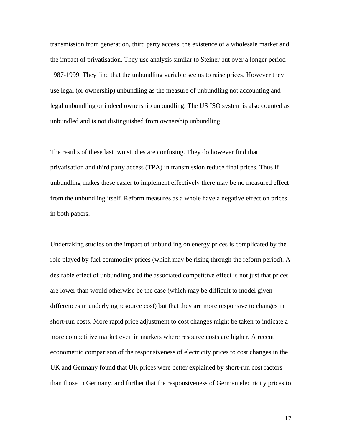transmission from generation, third party access, the existence of a wholesale market and the impact of privatisation. They use analysis similar to Steiner but over a longer period 1987-1999. They find that the unbundling variable seems to raise prices. However they use legal (or ownership) unbundling as the measure of unbundling not accounting and legal unbundling or indeed ownership unbundling. The US ISO system is also counted as unbundled and is not distinguished from ownership unbundling.

The results of these last two studies are confusing. They do however find that privatisation and third party access (TPA) in transmission reduce final prices. Thus if unbundling makes these easier to implement effectively there may be no measured effect from the unbundling itself. Reform measures as a whole have a negative effect on prices in both papers.

Undertaking studies on the impact of unbundling on energy prices is complicated by the role played by fuel commodity prices (which may be rising through the reform period). A desirable effect of unbundling and the associated competitive effect is not just that prices are lower than would otherwise be the case (which may be difficult to model given differences in underlying resource cost) but that they are more responsive to changes in short-run costs. More rapid price adjustment to cost changes might be taken to indicate a more competitive market even in markets where resource costs are higher. A recent econometric comparison of the responsiveness of electricity prices to cost changes in the UK and Germany found that UK prices were better explained by short-run cost factors than those in Germany, and further that the responsiveness of German electricity prices to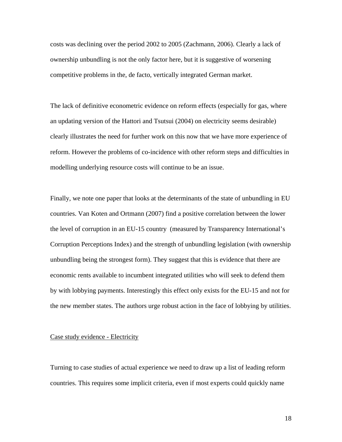costs was declining over the period 2002 to 2005 (Zachmann, 2006). Clearly a lack of ownership unbundling is not the only factor here, but it is suggestive of worsening competitive problems in the, de facto, vertically integrated German market.

The lack of definitive econometric evidence on reform effects (especially for gas, where an updating version of the Hattori and Tsutsui (2004) on electricity seems desirable) clearly illustrates the need for further work on this now that we have more experience of reform. However the problems of co-incidence with other reform steps and difficulties in modelling underlying resource costs will continue to be an issue.

Finally, we note one paper that looks at the determinants of the state of unbundling in EU countries. Van Koten and Ortmann (2007) find a positive correlation between the lower the level of corruption in an EU-15 country (measured by Transparency International's Corruption Perceptions Index) and the strength of unbundling legislation (with ownership unbundling being the strongest form). They suggest that this is evidence that there are economic rents available to incumbent integrated utilities who will seek to defend them by with lobbying payments. Interestingly this effect only exists for the EU-15 and not for the new member states. The authors urge robust action in the face of lobbying by utilities.

### Case study evidence - Electricity

Turning to case studies of actual experience we need to draw up a list of leading reform countries. This requires some implicit criteria, even if most experts could quickly name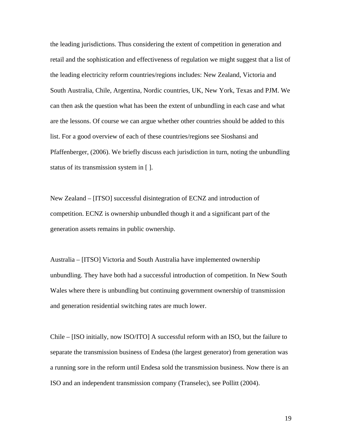the leading jurisdictions. Thus considering the extent of competition in generation and retail and the sophistication and effectiveness of regulation we might suggest that a list of the leading electricity reform countries/regions includes: New Zealand, Victoria and South Australia, Chile, Argentina, Nordic countries, UK, New York, Texas and PJM. We can then ask the question what has been the extent of unbundling in each case and what are the lessons. Of course we can argue whether other countries should be added to this list. For a good overview of each of these countries/regions see Sioshansi and Pfaffenberger, (2006). We briefly discuss each jurisdiction in turn, noting the unbundling status of its transmission system in [ ].

New Zealand – [ITSO] successful disintegration of ECNZ and introduction of competition. ECNZ is ownership unbundled though it and a significant part of the generation assets remains in public ownership.

Australia – [ITSO] Victoria and South Australia have implemented ownership unbundling. They have both had a successful introduction of competition. In New South Wales where there is unbundling but continuing government ownership of transmission and generation residential switching rates are much lower.

Chile – [ISO initially, now ISO/ITO] A successful reform with an ISO, but the failure to separate the transmission business of Endesa (the largest generator) from generation was a running sore in the reform until Endesa sold the transmission business. Now there is an ISO and an independent transmission company (Transelec), see Pollitt (2004).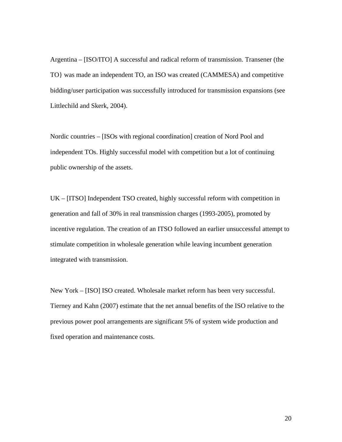Argentina – [ISO/ITO] A successful and radical reform of transmission. Transener (the TO} was made an independent TO, an ISO was created (CAMMESA) and competitive bidding/user participation was successfully introduced for transmission expansions (see Littlechild and Skerk, 2004).

Nordic countries – [ISOs with regional coordination] creation of Nord Pool and independent TOs. Highly successful model with competition but a lot of continuing public ownership of the assets.

UK – [ITSO] Independent TSO created, highly successful reform with competition in generation and fall of 30% in real transmission charges (1993-2005), promoted by incentive regulation. The creation of an ITSO followed an earlier unsuccessful attempt to stimulate competition in wholesale generation while leaving incumbent generation integrated with transmission.

New York – [ISO] ISO created. Wholesale market reform has been very successful. Tierney and Kahn (2007) estimate that the net annual benefits of the ISO relative to the previous power pool arrangements are significant 5% of system wide production and fixed operation and maintenance costs.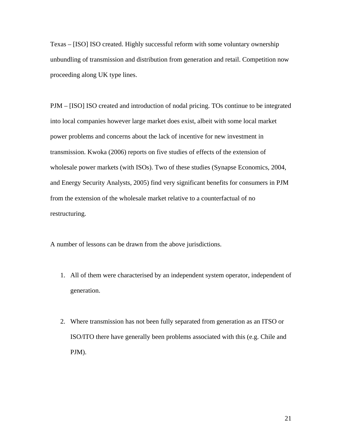Texas – [ISO] ISO created. Highly successful reform with some voluntary ownership unbundling of transmission and distribution from generation and retail. Competition now proceeding along UK type lines.

PJM – [ISO] ISO created and introduction of nodal pricing. TOs continue to be integrated into local companies however large market does exist, albeit with some local market power problems and concerns about the lack of incentive for new investment in transmission. Kwoka (2006) reports on five studies of effects of the extension of wholesale power markets (with ISOs). Two of these studies (Synapse Economics, 2004, and Energy Security Analysts, 2005) find very significant benefits for consumers in PJM from the extension of the wholesale market relative to a counterfactual of no restructuring.

A number of lessons can be drawn from the above jurisdictions.

- 1. All of them were characterised by an independent system operator, independent of generation.
- 2. Where transmission has not been fully separated from generation as an ITSO or ISO/ITO there have generally been problems associated with this (e.g. Chile and PJM).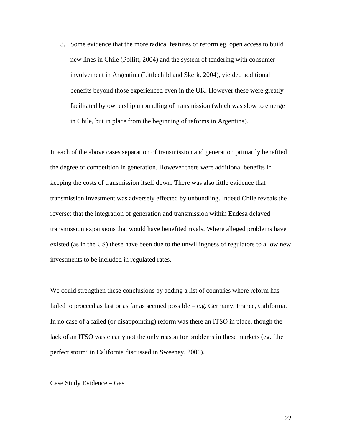3. Some evidence that the more radical features of reform eg. open access to build new lines in Chile (Pollitt, 2004) and the system of tendering with consumer involvement in Argentina (Littlechild and Skerk, 2004), yielded additional benefits beyond those experienced even in the UK. However these were greatly facilitated by ownership unbundling of transmission (which was slow to emerge in Chile, but in place from the beginning of reforms in Argentina).

In each of the above cases separation of transmission and generation primarily benefited the degree of competition in generation. However there were additional benefits in keeping the costs of transmission itself down. There was also little evidence that transmission investment was adversely effected by unbundling. Indeed Chile reveals the reverse: that the integration of generation and transmission within Endesa delayed transmission expansions that would have benefited rivals. Where alleged problems have existed (as in the US) these have been due to the unwillingness of regulators to allow new investments to be included in regulated rates.

We could strengthen these conclusions by adding a list of countries where reform has failed to proceed as fast or as far as seemed possible – e.g. Germany, France, California. In no case of a failed (or disappointing) reform was there an ITSO in place, though the lack of an ITSO was clearly not the only reason for problems in these markets (eg. 'the perfect storm' in California discussed in Sweeney, 2006).

#### Case Study Evidence – Gas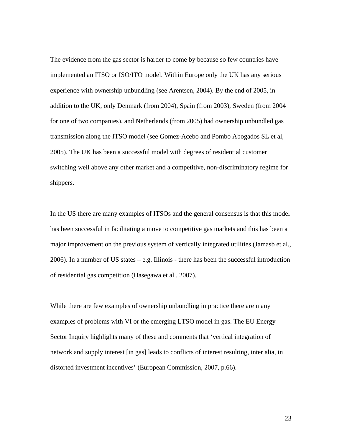The evidence from the gas sector is harder to come by because so few countries have implemented an ITSO or ISO/ITO model. Within Europe only the UK has any serious experience with ownership unbundling (see Arentsen, 2004). By the end of 2005, in addition to the UK, only Denmark (from 2004), Spain (from 2003), Sweden (from 2004 for one of two companies), and Netherlands (from 2005) had ownership unbundled gas transmission along the ITSO model (see Gomez-Acebo and Pombo Abogados SL et al, 2005). The UK has been a successful model with degrees of residential customer switching well above any other market and a competitive, non-discriminatory regime for shippers.

In the US there are many examples of ITSOs and the general consensus is that this model has been successful in facilitating a move to competitive gas markets and this has been a major improvement on the previous system of vertically integrated utilities (Jamasb et al., 2006). In a number of US states – e.g. Illinois - there has been the successful introduction of residential gas competition (Hasegawa et al., 2007).

While there are few examples of ownership unbundling in practice there are many examples of problems with VI or the emerging LTSO model in gas. The EU Energy Sector Inquiry highlights many of these and comments that 'vertical integration of network and supply interest [in gas] leads to conflicts of interest resulting, inter alia, in distorted investment incentives' (European Commission, 2007, p.66).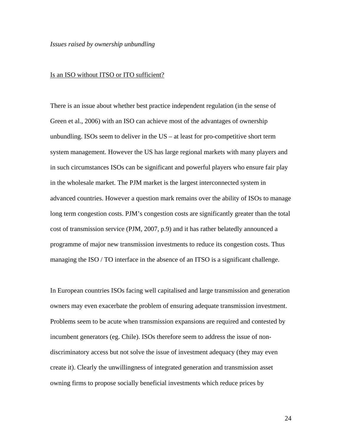#### *Issues raised by ownership unbundling*

### Is an ISO without ITSO or ITO sufficient?

There is an issue about whether best practice independent regulation (in the sense of Green et al., 2006) with an ISO can achieve most of the advantages of ownership unbundling. ISOs seem to deliver in the US – at least for pro-competitive short term system management. However the US has large regional markets with many players and in such circumstances ISOs can be significant and powerful players who ensure fair play in the wholesale market. The PJM market is the largest interconnected system in advanced countries. However a question mark remains over the ability of ISOs to manage long term congestion costs. PJM's congestion costs are significantly greater than the total cost of transmission service (PJM, 2007, p.9) and it has rather belatedly announced a programme of major new transmission investments to reduce its congestion costs. Thus managing the ISO / TO interface in the absence of an ITSO is a significant challenge.

In European countries ISOs facing well capitalised and large transmission and generation owners may even exacerbate the problem of ensuring adequate transmission investment. Problems seem to be acute when transmission expansions are required and contested by incumbent generators (eg. Chile). ISOs therefore seem to address the issue of nondiscriminatory access but not solve the issue of investment adequacy (they may even create it). Clearly the unwillingness of integrated generation and transmission asset owning firms to propose socially beneficial investments which reduce prices by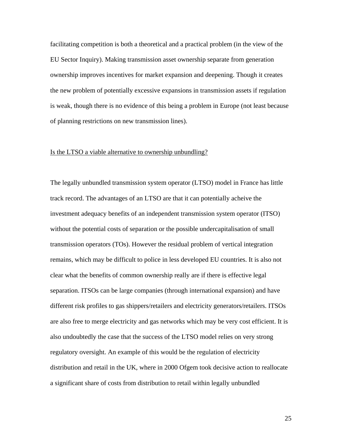facilitating competition is both a theoretical and a practical problem (in the view of the EU Sector Inquiry). Making transmission asset ownership separate from generation ownership improves incentives for market expansion and deepening. Though it creates the new problem of potentially excessive expansions in transmission assets if regulation is weak, though there is no evidence of this being a problem in Europe (not least because of planning restrictions on new transmission lines).

### Is the LTSO a viable alternative to ownership unbundling?

The legally unbundled transmission system operator (LTSO) model in France has little track record. The advantages of an LTSO are that it can potentially acheive the investment adequacy benefits of an independent transmission system operator (ITSO) without the potential costs of separation or the possible undercapitalisation of small transmission operators (TOs). However the residual problem of vertical integration remains, which may be difficult to police in less developed EU countries. It is also not clear what the benefits of common ownership really are if there is effective legal separation. ITSOs can be large companies (through international expansion) and have different risk profiles to gas shippers/retailers and electricity generators/retailers. ITSOs are also free to merge electricity and gas networks which may be very cost efficient. It is also undoubtedly the case that the success of the LTSO model relies on very strong regulatory oversight. An example of this would be the regulation of electricity distribution and retail in the UK, where in 2000 Ofgem took decisive action to reallocate a significant share of costs from distribution to retail within legally unbundled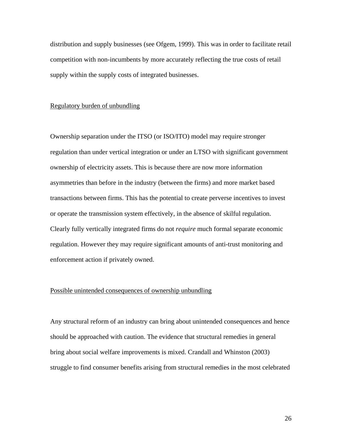distribution and supply businesses (see Ofgem, 1999). This was in order to facilitate retail competition with non-incumbents by more accurately reflecting the true costs of retail supply within the supply costs of integrated businesses.

### Regulatory burden of unbundling

Ownership separation under the ITSO (or ISO/ITO) model may require stronger regulation than under vertical integration or under an LTSO with significant government ownership of electricity assets. This is because there are now more information asymmetries than before in the industry (between the firms) and more market based transactions between firms. This has the potential to create perverse incentives to invest or operate the transmission system effectively, in the absence of skilful regulation. Clearly fully vertically integrated firms do not *require* much formal separate economic regulation. However they may require significant amounts of anti-trust monitoring and enforcement action if privately owned.

### Possible unintended consequences of ownership unbundling

Any structural reform of an industry can bring about unintended consequences and hence should be approached with caution. The evidence that structural remedies in general bring about social welfare improvements is mixed. Crandall and Whinston (2003) struggle to find consumer benefits arising from structural remedies in the most celebrated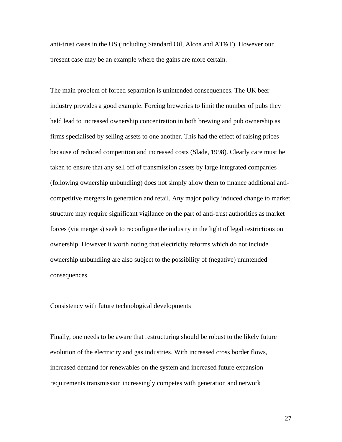anti-trust cases in the US (including Standard Oil, Alcoa and AT&T). However our present case may be an example where the gains are more certain.

The main problem of forced separation is unintended consequences. The UK beer industry provides a good example. Forcing breweries to limit the number of pubs they held lead to increased ownership concentration in both brewing and pub ownership as firms specialised by selling assets to one another. This had the effect of raising prices because of reduced competition and increased costs (Slade, 1998). Clearly care must be taken to ensure that any sell off of transmission assets by large integrated companies (following ownership unbundling) does not simply allow them to finance additional anticompetitive mergers in generation and retail. Any major policy induced change to market structure may require significant vigilance on the part of anti-trust authorities as market forces (via mergers) seek to reconfigure the industry in the light of legal restrictions on ownership. However it worth noting that electricity reforms which do not include ownership unbundling are also subject to the possibility of (negative) unintended consequences.

### Consistency with future technological developments

Finally, one needs to be aware that restructuring should be robust to the likely future evolution of the electricity and gas industries. With increased cross border flows, increased demand for renewables on the system and increased future expansion requirements transmission increasingly competes with generation and network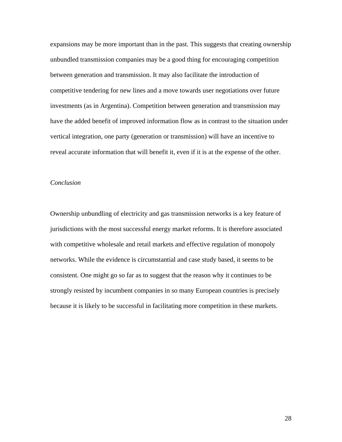expansions may be more important than in the past. This suggests that creating ownership unbundled transmission companies may be a good thing for encouraging competition between generation and transmission. It may also facilitate the introduction of competitive tendering for new lines and a move towards user negotiations over future investments (as in Argentina). Competition between generation and transmission may have the added benefit of improved information flow as in contrast to the situation under vertical integration, one party (generation or transmission) will have an incentive to reveal accurate information that will benefit it, even if it is at the expense of the other.

## *Conclusion*

Ownership unbundling of electricity and gas transmission networks is a key feature of jurisdictions with the most successful energy market reforms. It is therefore associated with competitive wholesale and retail markets and effective regulation of monopoly networks. While the evidence is circumstantial and case study based, it seems to be consistent. One might go so far as to suggest that the reason why it continues to be strongly resisted by incumbent companies in so many European countries is precisely because it is likely to be successful in facilitating more competition in these markets.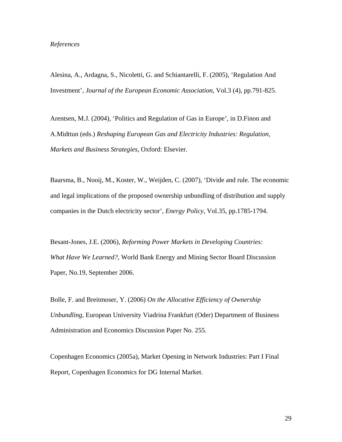Alesina, A., Ardagna, S., Nicoletti, G. and Schiantarelli, F. (2005), '[Regulation And](http://ideas.repec.org/a/tpr/jeurec/v3y2005i4p791-825.html)  [Investment](http://ideas.repec.org/a/tpr/jeurec/v3y2005i4p791-825.html)', *[Journal of the European Economic Association](http://ideas.repec.org/s/tpr/jeurec.html)*, Vol.3 (4), pp.791-825.

Arentsen, M.J. (2004), 'Politics and Regulation of Gas in Europe', in D.Finon and A.Midttun (eds.) *Reshaping European Gas and Electricity Industries: Regulation, Markets and Business Strategies*, Oxford: Elsevier.

Baarsma, B., Nooij, M., Koster, W., Weijden, C. (2007), 'Divide and rule. The economic and legal implications of the proposed ownership unbundling of distribution and supply companies in the Dutch electricity sector', *Energy Policy*, Vol.35, pp.1785-1794.

Besant-Jones, J.E. (2006), *Reforming Power Markets in Developing Countries: What Have We Learned?*, World Bank Energy and Mining Sector Board Discussion Paper, No.19, September 2006.

Bolle, F. and Breitmoser, Y. (2006) *On the Allocative Efficiency of Ownership Unbundling*, European University Viadrina Frankfurt (Oder) Department of Business Administration and Economics Discussion Paper No. 255.

Copenhagen Economics (2005a), Market Opening in Network Industries: Part I Final Report, Copenhagen Economics for DG Internal Market.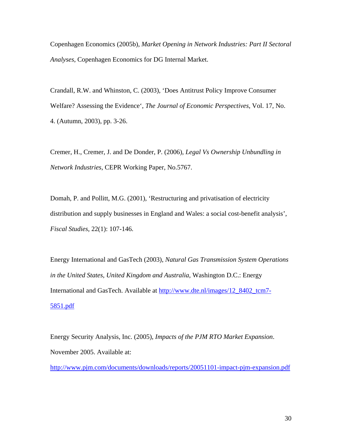Copenhagen Economics (2005b), *Market Opening in Network Industries: Part II Sectoral Analyses*, Copenhagen Economics for DG Internal Market.

Crandall, R.W. and Whinston, C. (2003), 'Does Antitrust Policy Improve Consumer Welfare? Assessing the Evidence', *The Journal of Economic Perspectives*, Vol. 17, No. 4. (Autumn, 2003), pp. 3-26.

Cremer, H., Cremer, J. and De Donder, P. (2006), *Legal Vs Ownership Unbundling in Network Industries*, CEPR Working Paper, No.5767.

Domah, P. and Pollitt, M.G. (2001), 'Restructuring and privatisation of electricity distribution and supply businesses in England and Wales: a social cost-benefit analysis', *Fiscal Studies*, 22(1): 107-146.

Energy International and GasTech (2003), *Natural Gas Transmission System Operations in the United States, United Kingdom and Australia*, Washington D.C.: Energy International and GasTech. Available at [http://www.dte.nl/images/12\\_8402\\_tcm7-](http://www.dte.nl/images/12_8402_tcm7-5851.pdf) [5851.pdf](http://www.dte.nl/images/12_8402_tcm7-5851.pdf)

Energy Security Analysis, Inc. (2005), *Impacts of the PJM RTO Market Expansion*. November 2005. Available at:

<http://www.pjm.com/documents/downloads/reports/20051101-impact-pjm-expansion.pdf>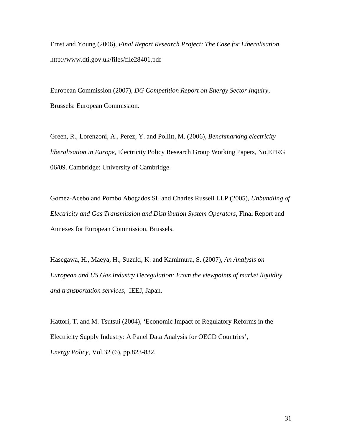Ernst and Young (2006), *Final Report Research Project: The Case for Liberalisation* http://www.dti.gov.uk/files/file28401.pdf

European Commission (2007), *DG Competition Report on Energy Sector Inquiry*, Brussels: European Commission.

Green, R., Lorenzoni, A., Perez, Y. and Pollitt, M. (2006), *Benchmarking electricity liberalisation in Europe*, Electricity Policy Research Group Working Papers, No.EPRG 06/09. Cambridge: University of Cambridge.

Gomez-Acebo and Pombo Abogados SL and Charles Russell LLP (2005), *Unbundling of Electricity and Gas Transmission and Distribution System Operators*, Final Report and Annexes for European Commission, Brussels.

Hasegawa, H., Maeya, H., Suzuki, K. and Kamimura, S. (2007), *An Analysis on European and US Gas Industry Deregulation: From the viewpoints of market liquidity and transportation services*, IEEJ, Japan.

Hattori, T. and M. Tsutsui (2004), 'Economic Impact of Regulatory Reforms in the Electricity Supply Industry: A Panel Data Analysis for OECD Countries', *Energy Policy*, [Vol.32 \(6\)](http://www.sciencedirect.com/science?_ob=PublicationURL&_tockey=%23TOC%235713%232004%23999679993%23463055%23FLA%23&_cdi=5713&_pubType=J&view=c&_auth=y&_acct=C000053194&_version=1&_urlVersion=0&_userid=1495569&md5=b6523a420f4a588a581672aca6cd28e7), pp.823-832.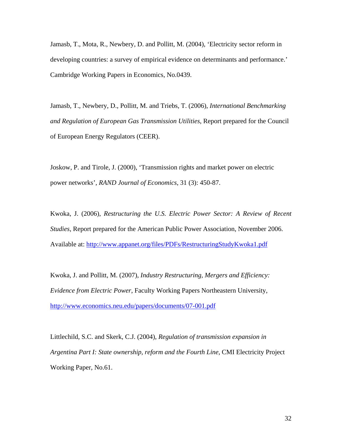Jamasb, T., Mota, R., Newbery, D. and Pollitt, M. (2004), 'Electricity sector reform in developing countries: a survey of empirical evidence on determinants and performance.' Cambridge Working Papers in Economics, No.0439.

Jamasb, T., Newbery, D., Pollitt, M. and Triebs, T. (2006), *International Benchmarking and Regulation of European Gas Transmission Utilities*, Report prepared for the Council of European Energy Regulators (CEER).

Joskow, P. and Tirole, J. (2000), 'Transmission rights and market power on electric power networks', *RAND Journal of Economics*, 31 (3): 450-87.

Kwoka, J. (2006), *Restructuring the U.S. Electric Power Sector: A Review of Recent Studies*, Report prepared for the American Public Power Association, November 2006. Available at: <http://www.appanet.org/files/PDFs/RestructuringStudyKwoka1.pdf>

Kwoka, J. and Pollitt, M. (2007), *Industry Restructuring, Mergers and Efficiency: Evidence from Electric Power*, Faculty Working Papers Northeastern University, <http://www.economics.neu.edu/papers/documents/07-001.pdf>

Littlechild, S.C. and Skerk, C.J. (2004), *Regulation of transmission expansion in Argentina Part I: State ownership, reform and the Fourth Line*, CMI Electricity Project Working Paper, No.61.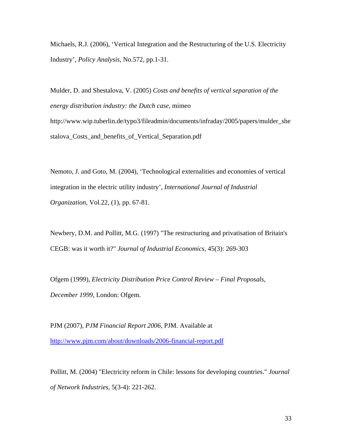Michaels, R.J. (2006), 'Vertical Integration and the Restructuring of the U.S. Electricity Industry', *Policy Analysis*, No.572, pp.1-31.

Mulder, D. and Shestalova, V. (2005) *Costs and benefits of vertical separation of the energy distribution industry: the Dutch case*, mimeo http://www.wip.tuberlin.de/typo3/fileadmin/documents/infraday/2005/papers/mulder\_she stalova\_Costs\_and\_benefits\_of\_Vertical\_Separation.pdf

Nemoto, J. and Goto, M. (2004), 'Technological externalities and economies of vertical integration in the electric utility industry', *[International Journal of Industrial](http://www.ingentaconnect.com/content/els/01677187;jsessionid=1u7276bal9mer.alice)  [Organization](http://www.ingentaconnect.com/content/els/01677187;jsessionid=1u7276bal9mer.alice)*, Vol.22, (1), pp. 67-81.

Newbery, D.M. and Pollitt, M.G. (1997) "The restructuring and privatisation of Britain's CEGB: was it worth it?" *Journal of Industrial Economics*, 45(3): 269-303

Ofgem (1999), *Electricity Distribution Price Control Review – Final Proposals, December 1999*, London: Ofgem.

PJM (2007), *PJM Financial Report 2006*, PJM. Available at <http://www.pjm.com/about/downloads/2006-financial-report.pdf>

Pollitt, M. (2004) "Electricity reform in Chile: lessons for developing countries." *Journal of Network Industries*, 5(3-4): 221-262.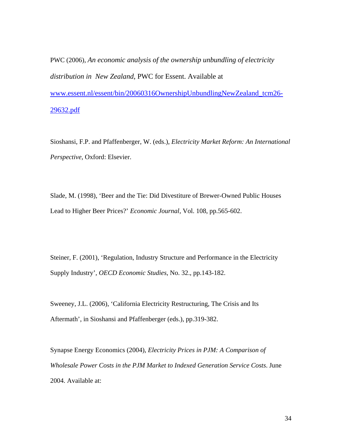PWC (2006), *An economic analysis of the ownership unbundling of electricity distribution in New Zealand*, PWC for Essent. Available at [www.essent.nl/essent/bin/20060316OwnershipUnbundlingNewZealand\\_tcm26-](http://www.essent.nl/essent/bin/20060316OwnershipUnbundlingNewZealand_tcm26-29632.pdf) [29632.pdf](http://www.essent.nl/essent/bin/20060316OwnershipUnbundlingNewZealand_tcm26-29632.pdf)

Sioshansi, F.P. and Pfaffenberger, W. (eds.), *Electricity Market Reform: An International Perspective*, Oxford: Elsevier.

Slade, M. (1998), 'Beer and the Tie: Did Divestiture of Brewer-Owned Public Houses Lead to Higher Beer Prices?' *Economic Journal*, Vol. 108, pp.565-602.

Steiner, F. (2001), 'Regulation, Industry Structure and Performance in the Electricity Supply Industry', *OECD Economic Studies*, No. 32., pp.143-182.

Sweeney, J.L. (2006), 'California Electricity Restructuring, The Crisis and Its Aftermath', in Sioshansi and Pfaffenberger (eds.), pp.319-382.

Synapse Energy Economics (2004), *Electricity Prices in PJM: A Comparison of Wholesale Power Costs in the PJM Market to Indexed Generation Service Costs*. June 2004. Available at: